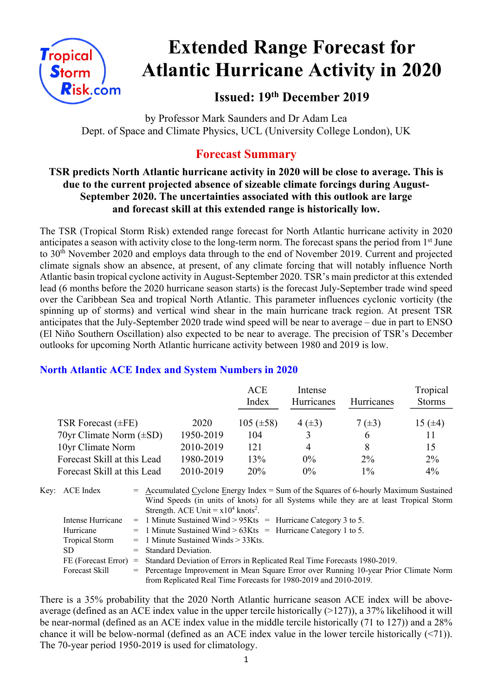

# **Extended Range Forecast for Atlantic Hurricane Activity in 2020**

**Issued: 19th December 2019**

by Professor Mark Saunders and Dr Adam Lea Dept. of Space and Climate Physics, UCL (University College London), UK

# **Forecast Summary**

### **TSR predicts North Atlantic hurricane activity in 2020 will be close to average. This is due to the current projected absence of sizeable climate forcings during August-September 2020. The uncertainties associated with this outlook are large and forecast skill at this extended range is historically low.**

The TSR (Tropical Storm Risk) extended range forecast for North Atlantic hurricane activity in 2020 anticipates a season with activity close to the long-term norm. The forecast spans the period from 1<sup>st</sup> June to 30th November 2020 and employs data through to the end of November 2019. Current and projected climate signals show an absence, at present, of any climate forcing that will notably influence North Atlantic basin tropical cyclone activity in August-September 2020. TSR's main predictor at this extended lead (6 months before the 2020 hurricane season starts) is the forecast July-September trade wind speed over the Caribbean Sea and tropical North Atlantic. This parameter influences cyclonic vorticity (the spinning up of storms) and vertical wind shear in the main hurricane track region. At present TSR anticipates that the July-September 2020 trade wind speed will be near to average – due in part to ENSO (El Niño Southern Oscillation) also expected to be near to average. The precision of TSR's December outlooks for upcoming North Atlantic hurricane activity between 1980 and 2019 is low.

## **North Atlantic ACE Index and System Numbers in 2020**

|                              |           | ACE<br>Index   | Intense<br>Hurricanes | Hurricanes  | Tropical<br><b>Storms</b> |
|------------------------------|-----------|----------------|-----------------------|-------------|---------------------------|
| TSR Forecast $(\pm FE)$      | 2020      | 105 $(\pm 58)$ | $4(\pm 3)$            | 7 $(\pm 3)$ | 15 $(\pm 4)$              |
| 70yr Climate Norm $(\pm SD)$ | 1950-2019 | 104            | 3                     | 6           |                           |
| 10yr Climate Norm            | 2010-2019 | 121            | 4                     | 8           | 15                        |
| Forecast Skill at this Lead  | 1980-2019 | 13%            | $0\%$                 | $2\%$       | $2\%$                     |
| Forecast Skill at this Lead  | 2010-2019 | 20%            | $0\%$                 | $1\%$       | $4\%$                     |

| Key: ACE Index        |                                                                             | $=$ Accumulated Cyclone Energy Index = Sum of the Squares of 6-hourly Maximum Sustained |  |  |
|-----------------------|-----------------------------------------------------------------------------|-----------------------------------------------------------------------------------------|--|--|
|                       |                                                                             | Wind Speeds (in units of knots) for all Systems while they are at least Tropical Storm  |  |  |
|                       |                                                                             | Strength. ACE Unit = $x10^4$ knots <sup>2</sup> .                                       |  |  |
| Intense Hurricane     |                                                                             | $=$ 1 Minute Sustained Wind > 95Kts = Hurricane Category 3 to 5.                        |  |  |
| Hurricane             |                                                                             | $=$ 1 Minute Sustained Wind > 63Kts = Hurricane Category 1 to 5.                        |  |  |
| <b>Tropical Storm</b> |                                                                             | $=$ 1 Minute Sustained Winds $>$ 33Kts.                                                 |  |  |
| SD.                   |                                                                             | $=$ Standard Deviation.                                                                 |  |  |
| FE (Forecast Error)   | = Standard Deviation of Errors in Replicated Real Time Forecasts 1980-2019. |                                                                                         |  |  |
| Forecast Skill        |                                                                             | = Percentage Improvement in Mean Square Error over Running 10-year Prior Climate Norm   |  |  |
|                       |                                                                             | from Replicated Real Time Forecasts for 1980-2019 and 2010-2019.                        |  |  |

There is a 35% probability that the 2020 North Atlantic hurricane season ACE index will be aboveaverage (defined as an ACE index value in the upper tercile historically (>127)), a 37% likelihood it will be near-normal (defined as an ACE index value in the middle tercile historically (71 to 127)) and a 28% chance it will be below-normal (defined as an ACE index value in the lower tercile historically (<71)). The 70-year period 1950-2019 is used for climatology.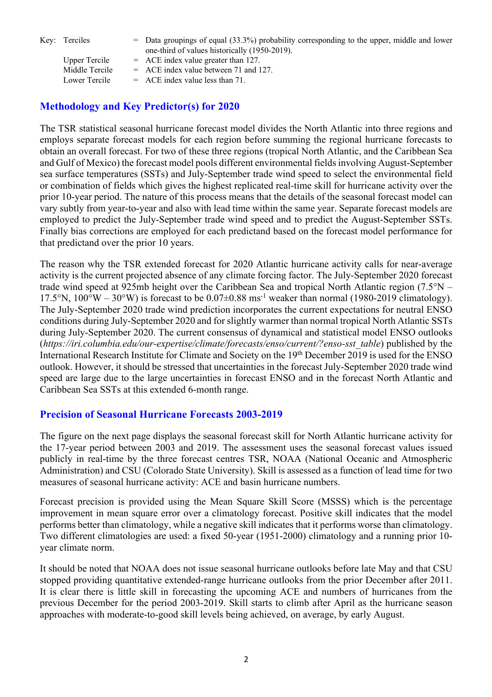Key: Terciles = Data groupings of equal (33.3%) probability corresponding to the upper, middle and lower one-third of values historically (1950-2019).

| <b>Upper Tercile</b> | $=$ ACE index value greater than 127.   |
|----------------------|-----------------------------------------|
| Middle Tercile       | $=$ ACE index value between 71 and 127. |
| Lower Tercile        | $=$ ACE index value less than 71.       |
|                      |                                         |

### **Methodology and Key Predictor(s) for 2020**

The TSR statistical seasonal hurricane forecast model divides the North Atlantic into three regions and employs separate forecast models for each region before summing the regional hurricane forecasts to obtain an overall forecast. For two of these three regions (tropical North Atlantic, and the Caribbean Sea and Gulf of Mexico) the forecast model pools different environmental fields involving August-September sea surface temperatures (SSTs) and July-September trade wind speed to select the environmental field or combination of fields which gives the highest replicated real-time skill for hurricane activity over the prior 10-year period. The nature of this process means that the details of the seasonal forecast model can vary subtly from year-to-year and also with lead time within the same year. Separate forecast models are employed to predict the July-September trade wind speed and to predict the August-September SSTs. Finally bias corrections are employed for each predictand based on the forecast model performance for that predictand over the prior 10 years.

The reason why the TSR extended forecast for 2020 Atlantic hurricane activity calls for near-average activity is the current projected absence of any climate forcing factor. The July-September 2020 forecast trade wind speed at 925mb height over the Caribbean Sea and tropical North Atlantic region (7.5°N – 17.5°N, 100°W – 30°W) is forecast to be 0.07 $\pm$ 0.88 ms<sup>-1</sup> weaker than normal (1980-2019 climatology). The July-September 2020 trade wind prediction incorporates the current expectations for neutral ENSO conditions during July-September 2020 and for slightly warmer than normal tropical North Atlantic SSTs during July-September 2020. The current consensus of dynamical and statistical model ENSO outlooks (*https://iri.columbia.edu/our-expertise/climate/forecasts/enso/current/?enso-sst\_table*) published by the International Research Institute for Climate and Society on the 19th December 2019 is used for the ENSO outlook. However, it should be stressed that uncertainties in the forecast July-September 2020 trade wind speed are large due to the large uncertainties in forecast ENSO and in the forecast North Atlantic and Caribbean Sea SSTs at this extended 6-month range.

#### **Precision of Seasonal Hurricane Forecasts 2003-2019**

The figure on the next page displays the seasonal forecast skill for North Atlantic hurricane activity for the 17-year period between 2003 and 2019. The assessment uses the seasonal forecast values issued publicly in real-time by the three forecast centres TSR, NOAA (National Oceanic and Atmospheric Administration) and CSU (Colorado State University). Skill is assessed as a function of lead time for two measures of seasonal hurricane activity: ACE and basin hurricane numbers.

Forecast precision is provided using the Mean Square Skill Score (MSSS) which is the percentage improvement in mean square error over a climatology forecast. Positive skill indicates that the model performs better than climatology, while a negative skill indicates that it performs worse than climatology. Two different climatologies are used: a fixed 50-year (1951-2000) climatology and a running prior 10 year climate norm.

It should be noted that NOAA does not issue seasonal hurricane outlooks before late May and that CSU stopped providing quantitative extended-range hurricane outlooks from the prior December after 2011. It is clear there is little skill in forecasting the upcoming ACE and numbers of hurricanes from the previous December for the period 2003-2019. Skill starts to climb after April as the hurricane season approaches with moderate-to-good skill levels being achieved, on average, by early August.